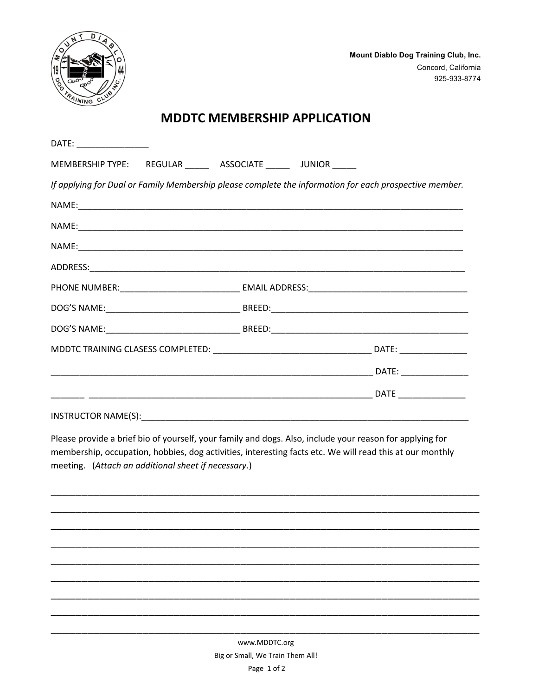

## **MDDTC MEMBERSHIP APPLICATION**

| DATE: ________________                                       |                                                                                                        |
|--------------------------------------------------------------|--------------------------------------------------------------------------------------------------------|
| MEMBERSHIP TYPE: REGULAR ______ ASSOCIATE _____ JUNIOR _____ |                                                                                                        |
|                                                              | If applying for Dual or Family Membership please complete the information for each prospective member. |
|                                                              |                                                                                                        |
|                                                              |                                                                                                        |
|                                                              |                                                                                                        |
|                                                              |                                                                                                        |
|                                                              |                                                                                                        |
|                                                              |                                                                                                        |
|                                                              |                                                                                                        |
|                                                              |                                                                                                        |
|                                                              |                                                                                                        |
|                                                              |                                                                                                        |
|                                                              |                                                                                                        |

Please provide a brief bio of yourself, your family and dogs. Also, include your reason for applying for membership, occupation, hobbies, dog activities, interesting facts etc. We will read this at our monthly meeting. (Attach an additional sheet if necessary.)